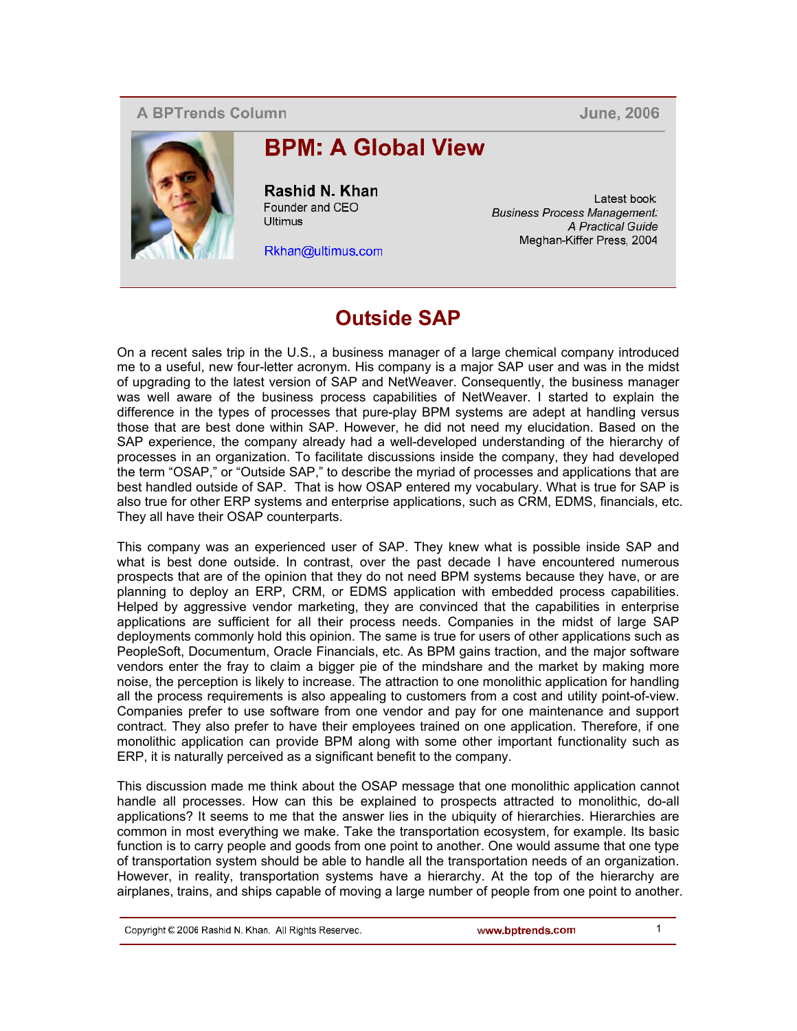## **A BPTrends Column**

**June, 2006** 



## **BPM: A Global View**

Rashid N. Khan Founder and CEO Ultimus

Rkhan@ultimus.com

Latest book. **Business Process Management:** A Practical Guide Meghan-Kiffer Press. 2004

## **Outside SAP**

On a recent sales trip in the U.S., a business manager of a large chemical company introduced me to a useful, new four-letter acronym. His company is a major SAP user and was in the midst of upgrading to the latest version of SAP and NetWeaver. Consequently, the business manager was well aware of the business process capabilities of NetWeaver. I started to explain the difference in the types of processes that pure-play BPM systems are adept at handling versus those that are best done within SAP. However, he did not need my elucidation. Based on the SAP experience, the company already had a well-developed understanding of the hierarchy of processes in an organization. To facilitate discussions inside the company, they had developed the term "OSAP," or "Outside SAP," to describe the myriad of processes and applications that are best handled outside of SAP. That is how OSAP entered my vocabulary. What is true for SAP is also true for other ERP systems and enterprise applications, such as CRM, EDMS, financials, etc. They all have their OSAP counterparts.

This company was an experienced user of SAP. They knew what is possible inside SAP and what is best done outside. In contrast, over the past decade I have encountered numerous prospects that are of the opinion that they do not need BPM systems because they have, or are planning to deploy an ERP, CRM, or EDMS application with embedded process capabilities. Helped by aggressive vendor marketing, they are convinced that the capabilities in enterprise applications are sufficient for all their process needs. Companies in the midst of large SAP deployments commonly hold this opinion. The same is true for users of other applications such as PeopleSoft, Documentum, Oracle Financials, etc. As BPM gains traction, and the major software vendors enter the fray to claim a bigger pie of the mindshare and the market by making more noise, the perception is likely to increase. The attraction to one monolithic application for handling all the process requirements is also appealing to customers from a cost and utility point-of-view. Companies prefer to use software from one vendor and pay for one maintenance and support contract. They also prefer to have their employees trained on one application. Therefore, if one monolithic application can provide BPM along with some other important functionality such as ERP, it is naturally perceived as a significant benefit to the company.

This discussion made me think about the OSAP message that one monolithic application cannot handle all processes. How can this be explained to prospects attracted to monolithic, do-all applications? It seems to me that the answer lies in the ubiquity of hierarchies. Hierarchies are common in most everything we make. Take the transportation ecosystem, for example. Its basic function is to carry people and goods from one point to another. One would assume that one type of transportation system should be able to handle all the transportation needs of an organization. However, in reality, transportation systems have a hierarchy. At the top of the hierarchy are airplanes, trains, and ships capable of moving a large number of people from one point to another.

Copyright C 2006 Rashid N. Khan. All Rights Reservec.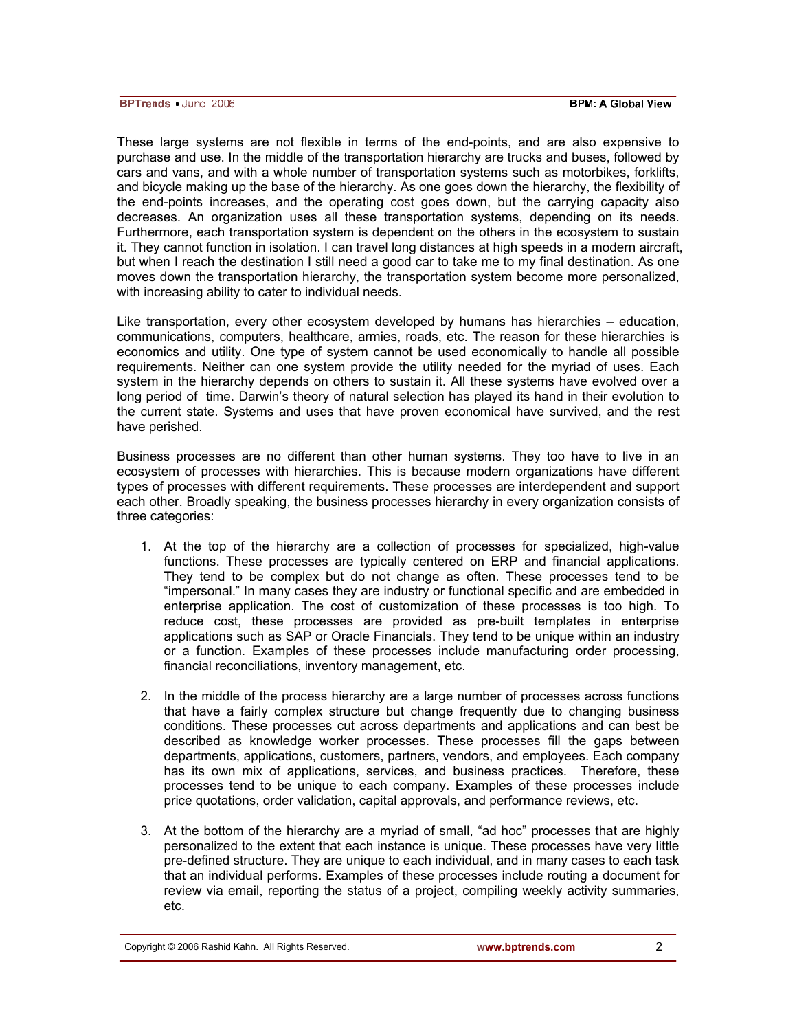These large systems are not flexible in terms of the end-points, and are also expensive to purchase and use. In the middle of the transportation hierarchy are trucks and buses, followed by cars and vans, and with a whole number of transportation systems such as motorbikes, forklifts, and bicycle making up the base of the hierarchy. As one goes down the hierarchy, the flexibility of the end-points increases, and the operating cost goes down, but the carrying capacity also decreases. An organization uses all these transportation systems, depending on its needs. Furthermore, each transportation system is dependent on the others in the ecosystem to sustain it. They cannot function in isolation. I can travel long distances at high speeds in a modern aircraft, but when I reach the destination I still need a good car to take me to my final destination. As one moves down the transportation hierarchy, the transportation system become more personalized, with increasing ability to cater to individual needs.

Like transportation, every other ecosystem developed by humans has hierarchies – education, communications, computers, healthcare, armies, roads, etc. The reason for these hierarchies is economics and utility. One type of system cannot be used economically to handle all possible requirements. Neither can one system provide the utility needed for the myriad of uses. Each system in the hierarchy depends on others to sustain it. All these systems have evolved over a long period of time. Darwin's theory of natural selection has played its hand in their evolution to the current state. Systems and uses that have proven economical have survived, and the rest have perished.

Business processes are no different than other human systems. They too have to live in an ecosystem of processes with hierarchies. This is because modern organizations have different types of processes with different requirements. These processes are interdependent and support each other. Broadly speaking, the business processes hierarchy in every organization consists of three categories:

- 1. At the top of the hierarchy are a collection of processes for specialized, high-value functions. These processes are typically centered on ERP and financial applications. They tend to be complex but do not change as often. These processes tend to be "impersonal." In many cases they are industry or functional specific and are embedded in enterprise application. The cost of customization of these processes is too high. To reduce cost, these processes are provided as pre-built templates in enterprise applications such as SAP or Oracle Financials. They tend to be unique within an industry or a function. Examples of these processes include manufacturing order processing, financial reconciliations, inventory management, etc.
- 2. In the middle of the process hierarchy are a large number of processes across functions that have a fairly complex structure but change frequently due to changing business conditions. These processes cut across departments and applications and can best be described as knowledge worker processes. These processes fill the gaps between departments, applications, customers, partners, vendors, and employees. Each company has its own mix of applications, services, and business practices. Therefore, these processes tend to be unique to each company. Examples of these processes include price quotations, order validation, capital approvals, and performance reviews, etc.
- 3. At the bottom of the hierarchy are a myriad of small, "ad hoc" processes that are highly personalized to the extent that each instance is unique. These processes have very little pre-defined structure. They are unique to each individual, and in many cases to each task that an individual performs. Examples of these processes include routing a document for review via email, reporting the status of a project, compiling weekly activity summaries, etc.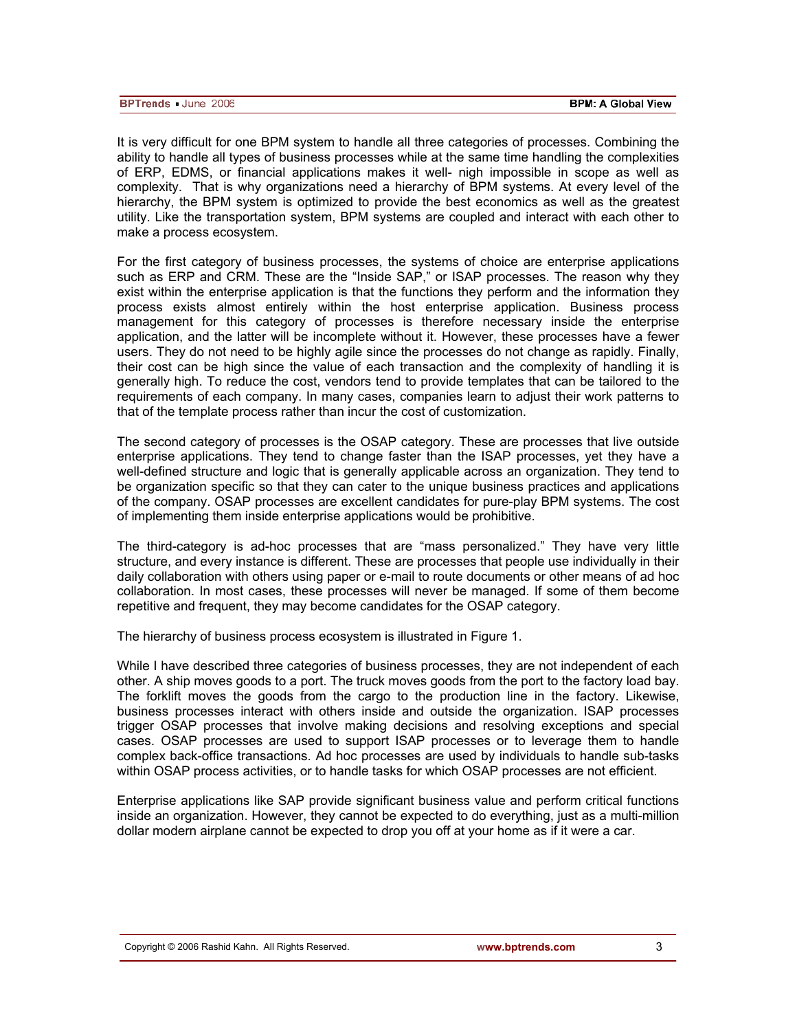| <b>BPTrends</b> June 2006 | <b>BPM: A Global View</b> |
|---------------------------|---------------------------|

It is very difficult for one BPM system to handle all three categories of processes. Combining the ability to handle all types of business processes while at the same time handling the complexities of ERP, EDMS, or financial applications makes it well- nigh impossible in scope as well as complexity. That is why organizations need a hierarchy of BPM systems. At every level of the hierarchy, the BPM system is optimized to provide the best economics as well as the greatest utility. Like the transportation system, BPM systems are coupled and interact with each other to make a process ecosystem.

For the first category of business processes, the systems of choice are enterprise applications such as ERP and CRM. These are the "Inside SAP," or ISAP processes. The reason why they exist within the enterprise application is that the functions they perform and the information they process exists almost entirely within the host enterprise application. Business process management for this category of processes is therefore necessary inside the enterprise application, and the latter will be incomplete without it. However, these processes have a fewer users. They do not need to be highly agile since the processes do not change as rapidly. Finally, their cost can be high since the value of each transaction and the complexity of handling it is generally high. To reduce the cost, vendors tend to provide templates that can be tailored to the requirements of each company. In many cases, companies learn to adjust their work patterns to that of the template process rather than incur the cost of customization.

The second category of processes is the OSAP category. These are processes that live outside enterprise applications. They tend to change faster than the ISAP processes, yet they have a well-defined structure and logic that is generally applicable across an organization. They tend to be organization specific so that they can cater to the unique business practices and applications of the company. OSAP processes are excellent candidates for pure-play BPM systems. The cost of implementing them inside enterprise applications would be prohibitive.

The third-category is ad-hoc processes that are "mass personalized." They have very little structure, and every instance is different. These are processes that people use individually in their daily collaboration with others using paper or e-mail to route documents or other means of ad hoc collaboration. In most cases, these processes will never be managed. If some of them become repetitive and frequent, they may become candidates for the OSAP category.

The hierarchy of business process ecosystem is illustrated in Figure 1.

While I have described three categories of business processes, they are not independent of each other. A ship moves goods to a port. The truck moves goods from the port to the factory load bay. The forklift moves the goods from the cargo to the production line in the factory. Likewise, business processes interact with others inside and outside the organization. ISAP processes trigger OSAP processes that involve making decisions and resolving exceptions and special cases. OSAP processes are used to support ISAP processes or to leverage them to handle complex back-office transactions. Ad hoc processes are used by individuals to handle sub-tasks within OSAP process activities, or to handle tasks for which OSAP processes are not efficient.

Enterprise applications like SAP provide significant business value and perform critical functions inside an organization. However, they cannot be expected to do everything, just as a multi-million dollar modern airplane cannot be expected to drop you off at your home as if it were a car.